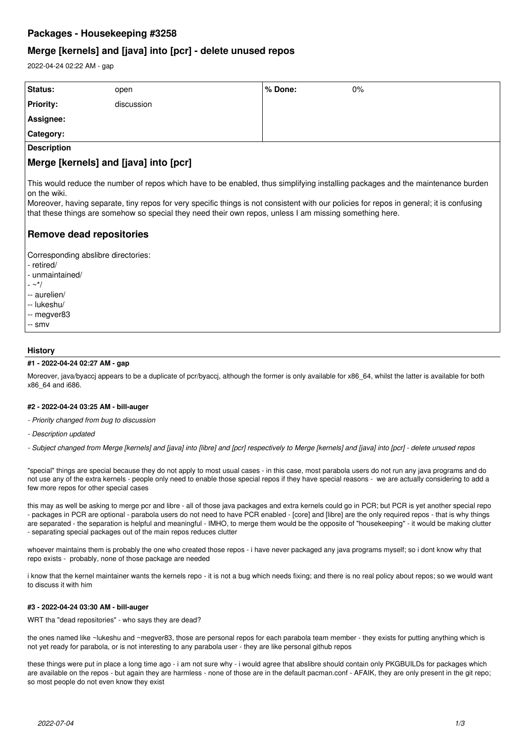# **Packages - Housekeeping #3258**

## **Merge [kernels] and [java] into [pcr] - delete unused repos**

2022-04-24 02:22 AM - gap

| Status:                                                                                                                                        | open       | ∣% Done: | $0\%$ |
|------------------------------------------------------------------------------------------------------------------------------------------------|------------|----------|-------|
| <b>Priority:</b>                                                                                                                               | discussion |          |       |
| Assignee:                                                                                                                                      |            |          |       |
| Category:                                                                                                                                      |            |          |       |
| <b>Description</b>                                                                                                                             |            |          |       |
| Merge [kernels] and [java] into [pcr]                                                                                                          |            |          |       |
| This would reduce the number of repos which have to be enabled, thus simplifying installing packages and the maintenance burden<br>on the wiki |            |          |       |

Moreover, having separate, tiny repos for very specific things is not consistent with our policies for repos in general; it is confusing that these things are somehow so special they need their own repos, unless I am missing something here.

# **Remove dead repositories**

Corresponding abslibre directories:

- retired/
- unmaintained/
- $\sim$   $*/$
- -- aurelien/
- -- lukeshu/
- -- megver83
- -- smv

## **History**

## **#1 - 2022-04-24 02:27 AM - gap**

Moreover, java/byacci appears to be a duplicate of pcr/byacci, although the former is only available for x86 64, whilst the latter is available for both x86\_64 and i686.

## **#2 - 2022-04-24 03:25 AM - bill-auger**

- *Priority changed from bug to discussion*
- *Description updated*

*- Subject changed from Merge [kernels] and [java] into [libre] and [pcr] respectively to Merge [kernels] and [java] into [pcr] - delete unused repos*

"special" things are special because they do not apply to most usual cases - in this case, most parabola users do not run any java programs and do not use any of the extra kernels - people only need to enable those special repos if they have special reasons - we are actually considering to add a few more repos for other special cases

this may as well be asking to merge pcr and libre - all of those java packages and extra kernels could go in PCR; but PCR is yet another special repo - packages in PCR are optional - parabola users do not need to have PCR enabled - [core] and [libre] are the only required repos - that is why things are separated - the separation is helpful and meaningful - IMHO, to merge them would be the opposite of "housekeeping" - it would be making clutter - separating special packages out of the main repos reduces clutter

whoever maintains them is probably the one who created those repos - i have never packaged any java programs myself; so i dont know why that repo exists - probably, none of those package are needed

i know that the kernel maintainer wants the kernels repo - it is not a bug which needs fixing; and there is no real policy about repos; so we would want to discuss it with him

## **#3 - 2022-04-24 03:30 AM - bill-auger**

WRT tha "dead repositories" - who says they are dead?

the ones named like ~lukeshu and ~megver83, those are personal repos for each parabola team member - they exists for putting anything which is not yet ready for parabola, or is not interesting to any parabola user - they are like personal github repos

these things were put in place a long time ago - i am not sure why - i would agree that abslibre should contain only PKGBUILDs for packages which are available on the repos - but again they are harmless - none of those are in the default pacman.conf - AFAIK, they are only present in the git repo; so most people do not even know they exist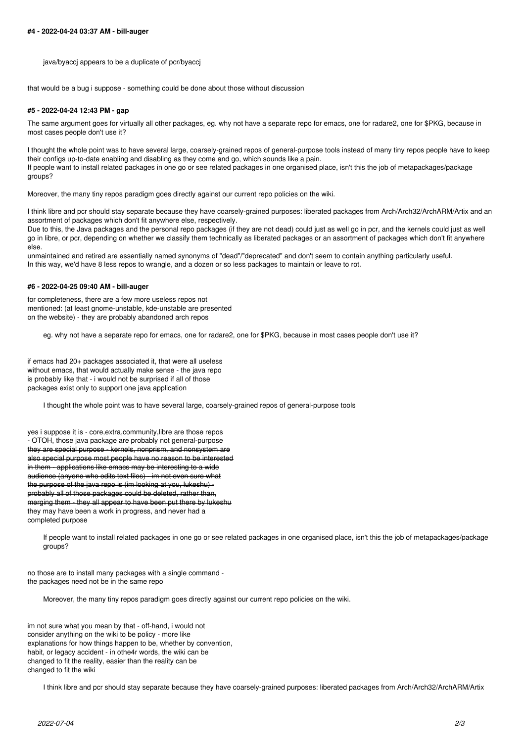java/byaccj appears to be a duplicate of pcr/byaccj

that would be a bug i suppose - something could be done about those without discussion

#### **#5 - 2022-04-24 12:43 PM - gap**

The same argument goes for virtually all other packages, eg. why not have a separate repo for emacs, one for radare2, one for \$PKG, because in most cases people don't use it?

I thought the whole point was to have several large, coarsely-grained repos of general-purpose tools instead of many tiny repos people have to keep their configs up-to-date enabling and disabling as they come and go, which sounds like a pain. If people want to install related packages in one go or see related packages in one organised place, isn't this the job of metapackages/package groups?

Moreover, the many tiny repos paradigm goes directly against our current repo policies on the wiki.

I think libre and pcr should stay separate because they have coarsely-grained purposes: liberated packages from Arch/Arch32/ArchARM/Artix and an assortment of packages which don't fit anywhere else, respectively.

Due to this, the Java packages and the personal repo packages (if they are not dead) could just as well go in pcr, and the kernels could just as well go in libre, or pcr, depending on whether we classify them technically as liberated packages or an assortment of packages which don't fit anywhere else.

unmaintained and retired are essentially named synonyms of "dead"/"deprecated" and don't seem to contain anything particularly useful. In this way, we'd have 8 less repos to wrangle, and a dozen or so less packages to maintain or leave to rot.

#### **#6 - 2022-04-25 09:40 AM - bill-auger**

for completeness, there are a few more useless repos not mentioned: (at least gnome-unstable, kde-unstable are presented on the website) - they are probably abandoned arch repos

eg. why not have a separate repo for emacs, one for radare2, one for \$PKG, because in most cases people don't use it?

if emacs had 20+ packages associated it, that were all useless without emacs, that would actually make sense - the java repo is probably like that - i would not be surprised if all of those packages exist only to support one java application

I thought the whole point was to have several large, coarsely-grained repos of general-purpose tools

yes i suppose it is - core,extra,community,libre are those repos - OTOH, those java package are probably not general-purpose they are special purpose - kernels, nonprism, and nonsystem are also special purpose most people have no reason to be interested in them applications like emacs may be interesting to a wide audience (anyone who edits text files) - im not even sure what the purpose of the java repo is (im looking at you, lukeshu) probably all of those packages could be deleted, rather than, merging them - they all appear to have been put there by lukeshu they may have been a work in progress, and never had a completed purpose

If people want to install related packages in one go or see related packages in one organised place, isn't this the job of metapackages/package groups?

no those are to install many packages with a single command the packages need not be in the same repo

Moreover, the many tiny repos paradigm goes directly against our current repo policies on the wiki.

im not sure what you mean by that - off-hand, i would not consider anything on the wiki to be policy - more like explanations for how things happen to be, whether by convention, habit, or legacy accident - in othe4r words, the wiki can be changed to fit the reality, easier than the reality can be changed to fit the wiki

I think libre and pcr should stay separate because they have coarsely-grained purposes: liberated packages from Arch/Arch32/ArchARM/Artix